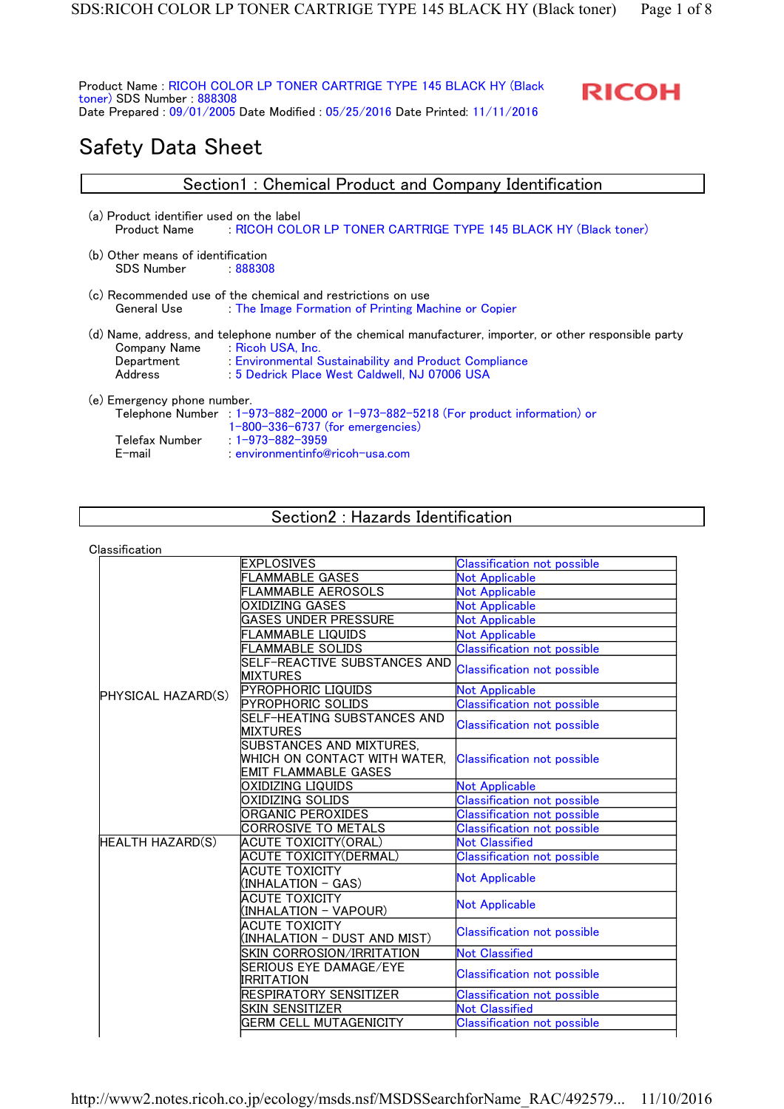Product Name : RICOH COLOR LP TONER CARTRIGE TYPE 145 BLACK HY (Black toner) SDS Number : 888308 Date Prepared : 09/01/2005 Date Modified : 05/25/2016 Date Printed: 11/11/2016

: environmentinfo@ricoh-usa.com



# Safety Data Sheet

Telefax Number : 1-973-882-3959<br>E-mail : environmentinfo@

| Section1: Chemical Product and Company Identification                                                                              |                                                                                                                                                                                                                                              |  |  |  |
|------------------------------------------------------------------------------------------------------------------------------------|----------------------------------------------------------------------------------------------------------------------------------------------------------------------------------------------------------------------------------------------|--|--|--|
| (a) Product identifier used on the label<br>: RICOH COLOR LP TONER CARTRIGE TYPE 145 BLACK HY (Black toner)<br><b>Product Name</b> |                                                                                                                                                                                                                                              |  |  |  |
| (b) Other means of identification<br><b>SDS Number</b>                                                                             | - 888308                                                                                                                                                                                                                                     |  |  |  |
| General Use                                                                                                                        | (c) Recommended use of the chemical and restrictions on use<br>The Image Formation of Printing Machine or Copier                                                                                                                             |  |  |  |
| Company Name<br>Department<br>Address                                                                                              | (d) Name, address, and telephone number of the chemical manufacturer, importer, or other responsible party<br>Ricoh USA, Inc.<br><b>Environmental Sustainability and Product Compliance</b><br>: 5 Dedrick Place West Caldwell, NJ 07006 USA |  |  |  |
| (e) Emergency phone number.                                                                                                        | Telephone Number : 1-973-882-2000 or 1-973-882-5218 (For product information) or<br>$1-800-336-6737$ (for emergencies)                                                                                                                       |  |  |  |

Section2 : Hazards Identification

Classification

|                         | <b>EXPLOSIVES</b>                              | <b>Classification not possible</b> |  |
|-------------------------|------------------------------------------------|------------------------------------|--|
|                         | <b>FLAMMABLE GASES</b>                         | <b>Not Applicable</b>              |  |
|                         | <b>FLAMMABLE AEROSOLS</b>                      | <b>Not Applicable</b>              |  |
|                         | OXIDIZING GASES                                | <b>Not Applicable</b>              |  |
|                         | <b>GASES UNDER PRESSURE</b>                    | <b>Not Applicable</b>              |  |
|                         | <b>FLAMMABLE LIQUIDS</b>                       | <b>Not Applicable</b>              |  |
|                         | <b>FLAMMABLE SOLIDS</b>                        | <b>Classification not possible</b> |  |
|                         | SELF-REACTIVE SUBSTANCES AND                   | <b>Classification not possible</b> |  |
|                         | <b>MIXTURES</b>                                |                                    |  |
| PHYSICAL HAZARD(S)      | <b>PYROPHORIC LIQUIDS</b>                      | <b>Not Applicable</b>              |  |
|                         | <b>PYROPHORIC SOLIDS</b>                       | <b>Classification not possible</b> |  |
|                         | SELF-HEATING SUBSTANCES AND<br><b>MIXTURES</b> | <b>Classification not possible</b> |  |
|                         | SUBSTANCES AND MIXTURES,                       |                                    |  |
|                         | WHICH ON CONTACT WITH WATER.                   | <b>Classification not possible</b> |  |
|                         | <b>EMIT FLAMMABLE GASES</b>                    |                                    |  |
|                         | OXIDIZING LIQUIDS                              | <b>Not Applicable</b>              |  |
|                         | OXIDIZING SOLIDS                               | <b>Classification not possible</b> |  |
|                         | ORGANIC PEROXIDES                              | <b>Classification not possible</b> |  |
|                         | CORROSIVE TO METALS                            | <b>Classification not possible</b> |  |
| <b>HEALTH HAZARD(S)</b> | <b>ACUTE TOXICITY(ORAL)</b>                    | <b>Not Classified</b>              |  |
|                         | ACUTE TOXICITY(DERMAL)                         | <b>Classification not possible</b> |  |
|                         | <b>ACUTE TOXICITY</b>                          | <b>Not Applicable</b>              |  |
|                         | (INHALATION - GAS)                             |                                    |  |
|                         | ACUTE TOXICITY                                 | <b>Not Applicable</b>              |  |
|                         | (INHALATION - VAPOUR)                          |                                    |  |
|                         | ACUTE TOXICITY                                 | <b>Classification not possible</b> |  |
|                         | (INHALATION – DUST AND MIST)                   |                                    |  |
|                         | SKIN CORROSION/IRRITATION                      | <b>Not Classified</b>              |  |
|                         | SERIOUS EYE DAMAGE/EYE<br>IRRITATION           | <b>Classification not possible</b> |  |
|                         | RESPIRATORY SENSITIZER                         | <b>Classification not possible</b> |  |
|                         | SKIN SENSITIZER                                | <b>Not Classified</b>              |  |
|                         | <b>GERM CELL MUTAGENICITY</b>                  | <b>Classification not possible</b> |  |
|                         |                                                |                                    |  |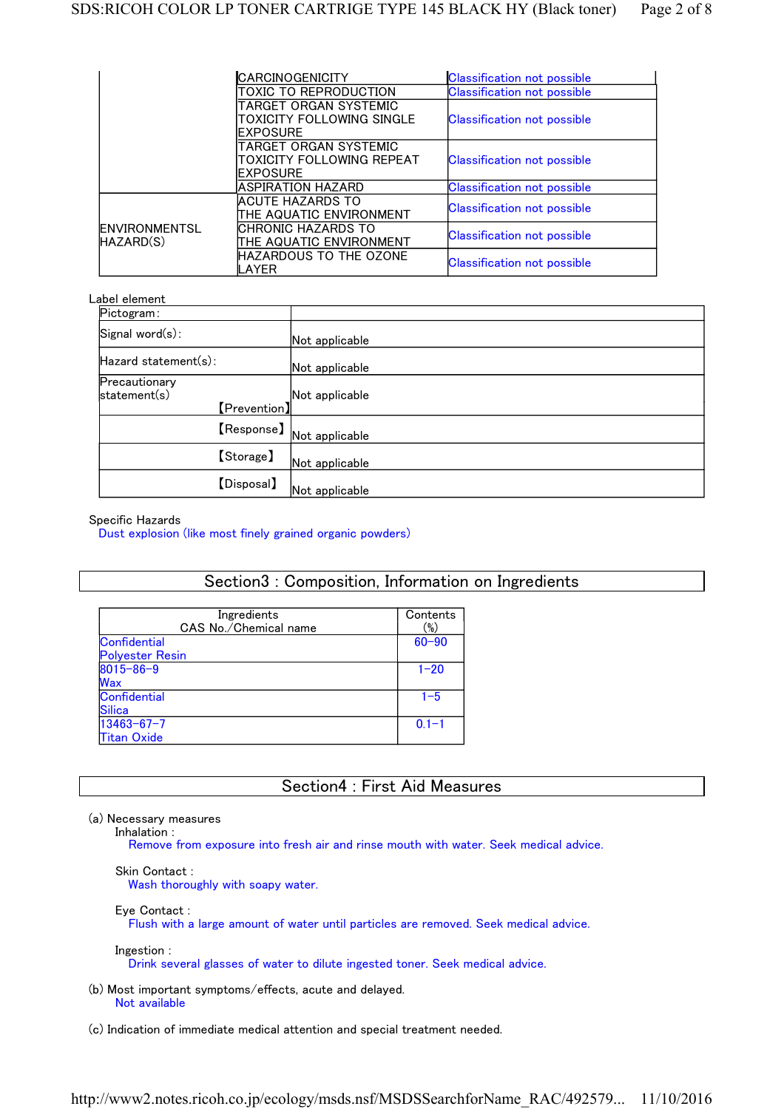|                                   | CARCINOGENICITY                                                  | <b>Classification not possible</b> |
|-----------------------------------|------------------------------------------------------------------|------------------------------------|
|                                   | TOXIC TO REPRODUCTION                                            | <b>Classification not possible</b> |
|                                   | TARGET ORGAN SYSTEMIC<br>TOXICITY FOLLOWING SINGLE<br>IEXPOSURE  | <b>Classification not possible</b> |
|                                   | TARGET ORGAN SYSTEMIC<br>ITOXICITY FOLLOWING REPEAT<br>IEXPOSURE | <b>Classification not possible</b> |
|                                   | <b>ASPIRATION HAZARD</b>                                         | <b>Classification not possible</b> |
|                                   | ACUTE HAZARDS TO<br>ITHE AQUATIC ENVIRONMENT                     | <b>Classification not possible</b> |
| <b>ENVIRONMENTSL</b><br>HAZARD(S) | ICHRONIC HAZARDS TO<br>THE AQUATIC ENVIRONMENT                   | <b>Classification not possible</b> |
|                                   | HAZARDOUS TO THE OZONE<br>_AYER                                  | <b>Classification not possible</b> |

#### Label element

| Pictogram:                                    |                |
|-----------------------------------------------|----------------|
| Signal word(s):                               | Not applicable |
| Hazard statement(s):                          | Not applicable |
| Precautionary<br>statement(s)<br>[Prevention] | Not applicable |
| 【Response】                                    | Not applicable |
| [Storage]                                     | Not applicable |
| <b>[Disposal]</b>                             | Not applicable |

#### Specific Hazards

Dust explosion (like most finely grained organic powders)

### Section3 : Composition, Information on Ingredients

| Ingredients<br>CAS No./Chemical name | Contents<br>$(\%)$ |
|--------------------------------------|--------------------|
| <b>Confidential</b>                  | $60 - 90$          |
| <b>Polyester Resin</b>               |                    |
| $8015 - 86 - 9$                      | $1 - 20$           |
| Wax                                  |                    |
| Confidential                         | $1 - 5$            |
| <b>Silica</b>                        |                    |
| $13463 - 67 - 7$                     | $0.1 - 1$          |
| <b>Titan Oxide</b>                   |                    |

# Section4 : First Aid Measures

(a) Necessary measures

Inhalation :

Remove from exposure into fresh air and rinse mouth with water. Seek medical advice.

#### Skin Contact :

Wash thoroughly with soapy water.

#### Eye Contact :

Flush with a large amount of water until particles are removed. Seek medical advice.

Ingestion :

Drink several glasses of water to dilute ingested toner. Seek medical advice.

(b) Most important symptoms/effects, acute and delayed. Not available

(c) Indication of immediate medical attention and special treatment needed.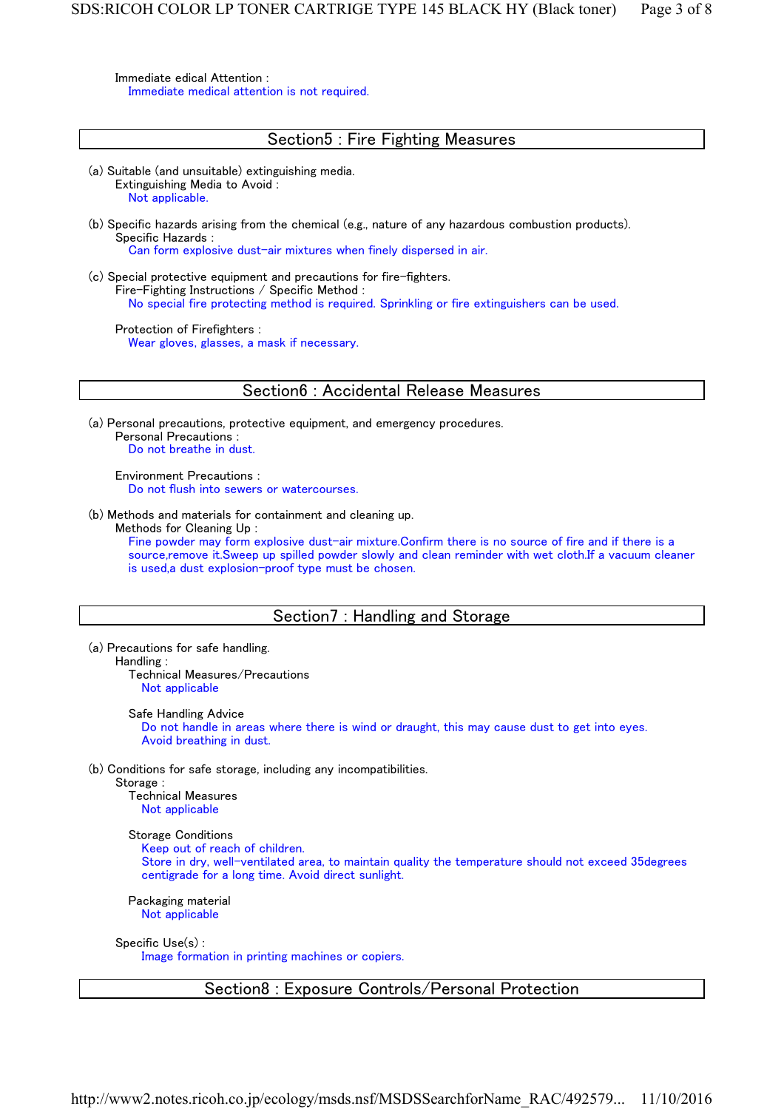Immediate edical Attention : Immediate medical attention is not required.

# Section5 : Fire Fighting Measures (a) Suitable (and unsuitable) extinguishing media. Extinguishing Media to Avoid : Not applicable. (b) Specific hazards arising from the chemical (e.g., nature of any hazardous combustion products). Specific Hazards : Can form explosive dust-air mixtures when finely dispersed in air. (c) Special protective equipment and precautions for fire-fighters. Fire-Fighting Instructions / Specific Method : No special fire protecting method is required. Sprinkling or fire extinguishers can be used. Protection of Firefighters : Wear gloves, glasses, a mask if necessary. Section6 : Accidental Release Measures (a) Personal precautions, protective equipment, and emergency procedures. Personal Precautions : Do not breathe in dust. Environment Precautions : Do not flush into sewers or watercourses. (b) Methods and materials for containment and cleaning up. Methods for Cleaning Up : Fine powder may form explosive dust-air mixture.Confirm there is no source of fire and if there is a source,remove it.Sweep up spilled powder slowly and clean reminder with wet cloth.If a vacuum cleaner is used,a dust explosion-proof type must be chosen. Section7 : Handling and Storage (a) Precautions for safe handling. Handling : Technical Measures/Precautions Not applicable Safe Handling Advice Do not handle in areas where there is wind or draught, this may cause dust to get into eyes. Avoid breathing in dust. (b) Conditions for safe storage, including any incompatibilities. Storage : Technical Measures Not applicable Storage Conditions Keep out of reach of children. Store in dry, well-ventilated area, to maintain quality the temperature should not exceed 35degrees centigrade for a long time. Avoid direct sunlight. Packaging material Not applicable Specific Use(s) : Image formation in printing machines or copiers. Section8 : Exposure Controls/Personal Protection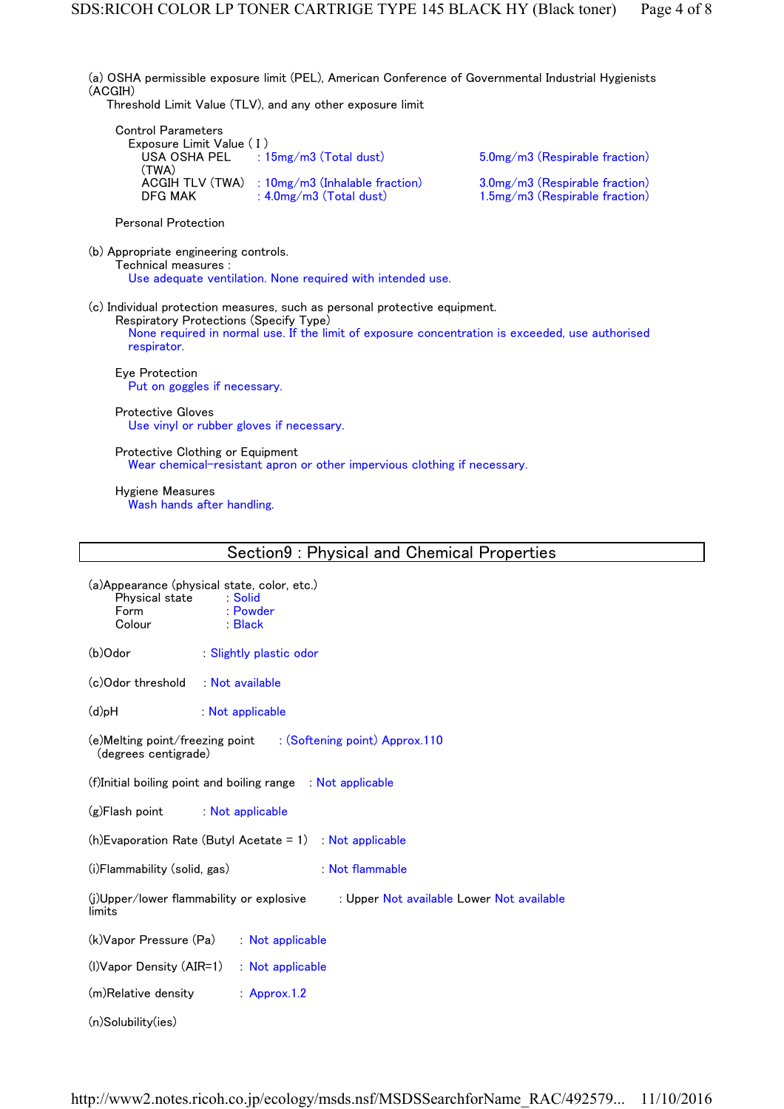(a) OSHA permissible exposure limit (PEL), American Conference of Governmental Industrial Hygienists (ACGIH) Threshold Limit Value (TLV), and any other exposure limit Control Parameters Exposure Limit Value (I)<br>USA OSHA PEL : 15mg/m3 (Total dust) USA OSHA PEL (TWA) 5.0mg/m3 (Respirable fraction) ACGIH TLV (TWA) : 10mg/m3 (Inhalable fraction) 3.0mg/m3 (Respirable fraction)<br>DFG MAK : 4.0mg/m3 (Total dust) 1.5mg/m3 (Respirable fraction) 1.5mg/m3 (Respirable fraction) Personal Protection (b) Appropriate engineering controls. Technical measures : Use adequate ventilation. None required with intended use. (c) Individual protection measures, such as personal protective equipment. Respiratory Protections (Specify Type) None required in normal use. If the limit of exposure concentration is exceeded, use authorised respirator. Eye Protection Put on goggles if necessary. Protective Gloves Use vinyl or rubber gloves if necessary. Protective Clothing or Equipment Wear chemical-resistant apron or other impervious clothing if necessary. Hygiene Measures

Wash hands after handling.

| Section9: Physical and Chemical Properties |
|--------------------------------------------|
|--------------------------------------------|

(a)Appearance (physical state, color, etc.)

| Physical state<br>Form<br>Colour   | Solid : Solid<br>:Powder<br>:Black                                                    |  |  |  |  |
|------------------------------------|---------------------------------------------------------------------------------------|--|--|--|--|
| (b)Odor                            | Slightly plastic odor                                                                 |  |  |  |  |
| (c) Odor threshold : Not available |                                                                                       |  |  |  |  |
| H <sub>d</sub> (b)                 | Not applicable                                                                        |  |  |  |  |
| (degrees centigrade)               | (e)Melting point/freezing point (Softening point) Approx.110                          |  |  |  |  |
|                                    | (f)Initial boiling point and boiling range : Not applicable                           |  |  |  |  |
| (g)Flash point Not applicable      |                                                                                       |  |  |  |  |
|                                    | $(h)$ Evaporation Rate (Butyl Acetate = 1) : Not applicable                           |  |  |  |  |
| (i)Flammability (solid, gas)       | Not flammable                                                                         |  |  |  |  |
| limits                             | (j)Upper/lower flammability or explosive<br>: Upper Not available Lower Not available |  |  |  |  |
|                                    | (k) Vapor Pressure (Pa) : Not applicable                                              |  |  |  |  |
|                                    | $(1)$ Vapor Density $(AIR=1)$ : Not applicable                                        |  |  |  |  |
| (m)Relative density                | Approx.1.2                                                                            |  |  |  |  |
| $(n)$ Solubility $(ies)$           |                                                                                       |  |  |  |  |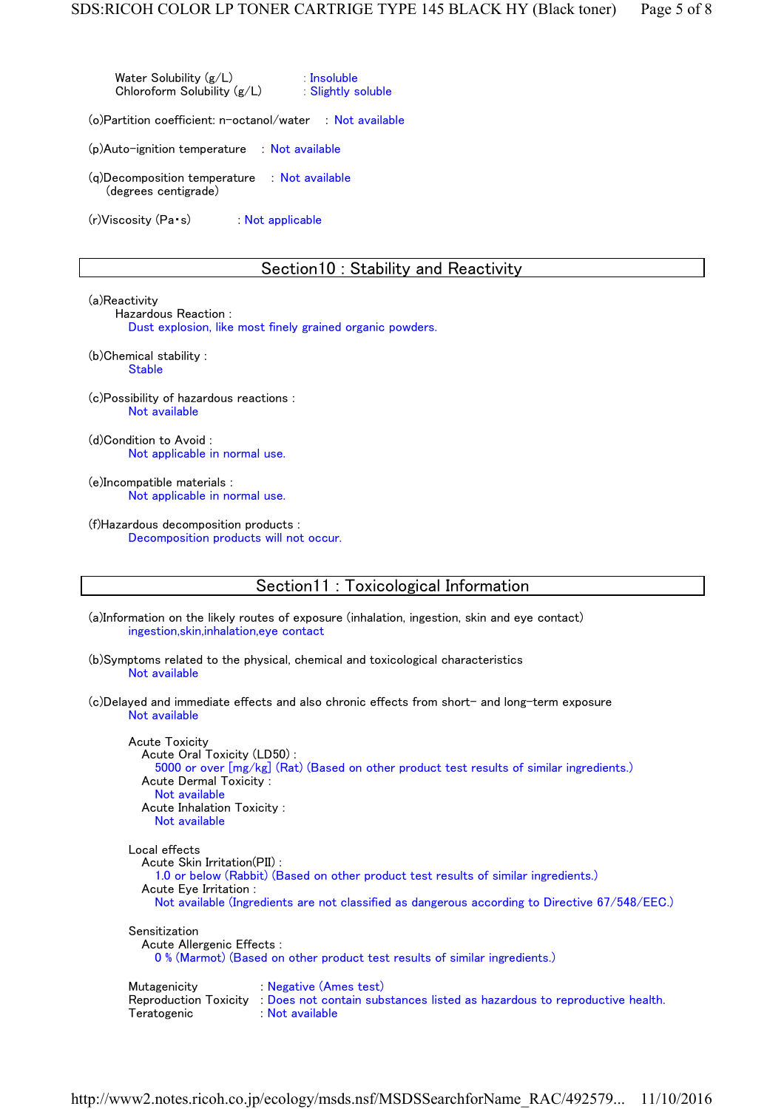Water Solubility (g/L) : Insoluble Chloroform Solubility  $(g/L)$  : Slightly soluble

(o)Partition coefficient: n-octanol/water : Not available

(p)Auto-ignition temperature : Not available

(q)Decomposition temperature : Not available (degrees centigrade)

(r) Viscosity (Pa·s) : Not applicable

#### Section10 : Stability and Reactivity

(a)Reactivity

Hazardous Reaction : Dust explosion, like most finely grained organic powders.

- (b)Chemical stability : **Stable**
- (c)Possibility of hazardous reactions : Not available

(d)Condition to Avoid : Not applicable in normal use.

(e)Incompatible materials : Not applicable in normal use.

(f)Hazardous decomposition products : Decomposition products will not occur.

## Section11 : Toxicological Information

(a)Information on the likely routes of exposure (inhalation, ingestion, skin and eye contact) ingestion,skin,inhalation,eye contact

(b)Symptoms related to the physical, chemical and toxicological characteristics Not available

(c)Delayed and immediate effects and also chronic effects from short- and long-term exposure Not available

Acute Toxicity Acute Oral Toxicity (LD50) : 5000 or over [mg/kg] (Rat) (Based on other product test results of similar ingredients.) Acute Dermal Toxicity : Not available Acute Inhalation Toxicity : Not available Local effects Acute Skin Irritation(PII) : 1.0 or below (Rabbit) (Based on other product test results of similar ingredients.) Acute Eye Irritation : Not available (Ingredients are not classified as dangerous according to Directive 67/548/EEC.) Sensitization Acute Allergenic Effects : 0 % (Marmot) (Based on other product test results of similar ingredients.) Mutagenicity : Negative (Ames test) Reproduction Toxicity : Does not contain substances listed as hazardous to reproductive health. Teratogenic : Not available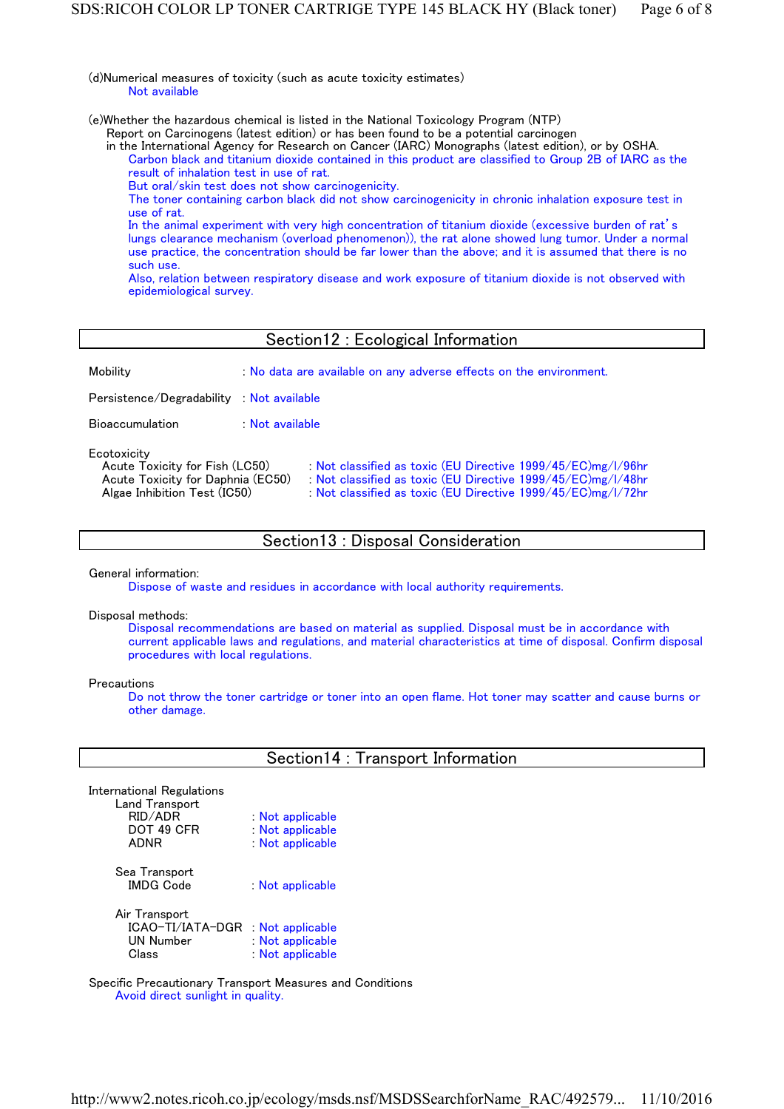(d)Numerical measures of toxicity (such as acute toxicity estimates) Not available

(e)Whether the hazardous chemical is listed in the National Toxicology Program (NTP)

Report on Carcinogens (latest edition) or has been found to be a potential carcinogen

in the International Agency for Research on Cancer (IARC) Monographs (latest edition), or by OSHA. Carbon black and titanium dioxide contained in this product are classified to Group 2B of IARC as the

- result of inhalation test in use of rat.
- But oral/skin test does not show carcinogenicity.

The toner containing carbon black did not show carcinogenicity in chronic inhalation exposure test in use of rat.

In the animal experiment with very high concentration of titanium dioxide (excessive burden of rat's lungs clearance mechanism (overload phenomenon)), the rat alone showed lung tumor. Under a normal use practice, the concentration should be far lower than the above;and it is assumed that there is no such use.

Also, relation between respiratory disease and work exposure of titanium dioxide is not observed with epidemiological survey.

## Section12 : Ecological Information

| Mobility                                                                                                           | : No data are available on any adverse effects on the environment.                                                                                                                           |
|--------------------------------------------------------------------------------------------------------------------|----------------------------------------------------------------------------------------------------------------------------------------------------------------------------------------------|
| Persistence/Degradability : Not available                                                                          |                                                                                                                                                                                              |
| <b>Bioaccumulation</b>                                                                                             | Not available                                                                                                                                                                                |
| Ecotoxicity<br>Acute Toxicity for Fish (LC50)<br>Acute Toxicity for Daphnia (EC50)<br>Algae Inhibition Test (IC50) | : Not classified as toxic (EU Directive 1999/45/EC)mg/l/96hr<br>: Not classified as toxic (EU Directive 1999/45/EC)mg/l/48hr<br>: Not classified as toxic (EU Directive 1999/45/EC)mg/l/72hr |

# Section13 : Disposal Consideration

General information:

Dispose of waste and residues in accordance with local authority requirements.

Disposal methods:

Disposal recommendations are based on material as supplied. Disposal must be in accordance with current applicable laws and regulations, and material characteristics at time of disposal. Confirm disposal procedures with local regulations.

**Precautions** 

Do not throw the toner cartridge or toner into an open flame. Hot toner may scatter and cause burns or other damage.

|  |  | Section14 : Transport Information |  |  |
|--|--|-----------------------------------|--|--|
|--|--|-----------------------------------|--|--|

Sea Transport

: Not applicable

: Not applicable : Not applicable : Not applicable

Air Transport ICAO-TI/IATA-DGR : Not applicable : Not applicable Class : Not applicable

Specific Precautionary Transport Measures and Conditions Avoid direct sunlight in quality.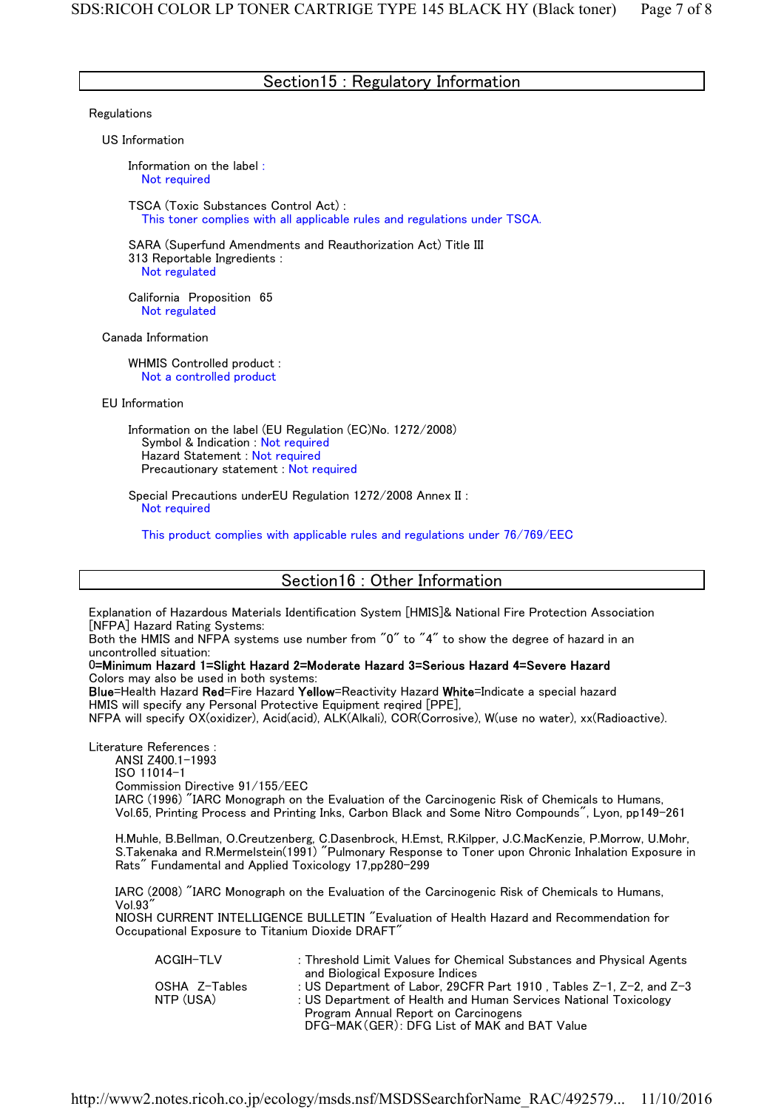## Section15 : Regulatory Information

#### **Regulations**

US Information

Information on the label : Not required

TSCA (Toxic Substances Control Act) : This toner complies with all applicable rules and regulations under TSCA.

SARA (Superfund Amendments and Reauthorization Act) Title III 313 Reportable Ingredients : Not regulated

California Proposition 65 Not regulated

Canada Information

WHMIS Controlled product : Not a controlled product

EU Information

Information on the label (EU Regulation (EC)No. 1272/2008) Symbol & Indication : Not required Hazard Statement : Not required Precautionary statement : Not required

Special Precautions underEU Regulation 1272/2008 Annex II : Not required

This product complies with applicable rules and regulations under 76/769/EEC

## Section16 : Other Information

Explanation of Hazardous Materials Identification System [HMIS]& National Fire Protection Association [NFPA] Hazard Rating Systems:

Both the HMIS and NFPA systems use number from "0" to "4" to show the degree of hazard in an uncontrolled situation:

0=Minimum Hazard 1=Slight Hazard 2=Moderate Hazard 3=Serious Hazard 4=Severe Hazard Colors may also be used in both systems:

Blue=Health Hazard Red=Fire Hazard Yellow=Reactivity Hazard White=Indicate a special hazard HMIS will specify any Personal Protective Equipment reqired [PPE],

NFPA will specify OX(oxidizer), Acid(acid), ALK(Alkali), COR(Corrosive), W(use no water), xx(Radioactive).

Literature References : ANSI Z400.1-1993 ISO 11014-1 Commission Directive 91/155/EEC IARC (1996) "IARC Monograph on the Evaluation of the Carcinogenic Risk of Chemicals to Humans, Vol.65, Printing Process and Printing Inks, Carbon Black and Some Nitro Compounds", Lyon, pp149-261

H.Muhle, B.Bellman, O.Creutzenberg, C.Dasenbrock, H.Emst, R.Kilpper, J.C.MacKenzie, P.Morrow, U.Mohr, S.Takenaka and R.Mermelstein(1991) "Pulmonary Response to Toner upon Chronic Inhalation Exposure in Rats" Fundamental and Applied Toxicology 17,pp280-299

IARC (2008) "IARC Monograph on the Evaluation of the Carcinogenic Risk of Chemicals to Humans, Vol.93"

NIOSH CURRENT INTELLIGENCE BULLETIN "Evaluation of Health Hazard and Recommendation for Occupational Exposure to Titanium Dioxide DRAFT"

| ACGIH-TLV     | : Threshold Limit Values for Chemical Substances and Physical Agents        |
|---------------|-----------------------------------------------------------------------------|
|               | and Biological Exposure Indices                                             |
| OSHA Z-Tables | : US Department of Labor, 29CFR Part 1910, Tables $Z-1$ , $Z-2$ , and $Z-3$ |
| NTP (USA)     | : US Department of Health and Human Services National Toxicology            |
|               | Program Annual Report on Carcinogens                                        |
|               | DFG-MAK (GER): DFG List of MAK and BAT Value                                |